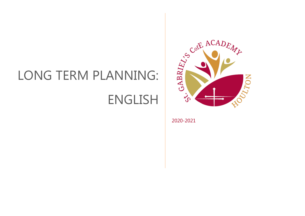## ENGLISH



2020-2021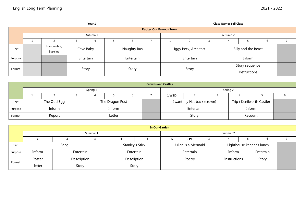|         |                |             |  | Year 1    |  |             |                               | <b>Class Name: Bell Class</b> |       |  |                     |              |  |  |  |  |
|---------|----------------|-------------|--|-----------|--|-------------|-------------------------------|-------------------------------|-------|--|---------------------|--------------|--|--|--|--|
|         |                |             |  |           |  |             | <b>Rugby: Our Famous Town</b> |                               |       |  |                     |              |  |  |  |  |
|         |                |             |  | Autumn 1  |  |             | Autumn 2                      |                               |       |  |                     |              |  |  |  |  |
|         |                |             |  |           |  |             |                               |                               |       |  |                     |              |  |  |  |  |
| Text    |                | Handwriting |  | Cave Baby |  | Naughty Bus |                               |                               |       |  | Billy and the Beast |              |  |  |  |  |
|         |                | Baseline    |  |           |  |             |                               | Iggy Peck, Architect          |       |  |                     |              |  |  |  |  |
| Purpose |                |             |  | Entertain |  | Entertain   |                               | Inform<br>Entertain           |       |  |                     |              |  |  |  |  |
|         |                |             |  |           |  |             |                               |                               |       |  | Story sequence      |              |  |  |  |  |
| Format  | Story<br>Story |             |  |           |  |             |                               |                               | Story |  |                     |              |  |  |  |  |
|         |                |             |  |           |  |             |                               |                               |       |  |                     | Instructions |  |  |  |  |

|         | <b>Crowns and Castles</b> |             |  |          |                 |   |  |          |                                                        |         |        |  |  |  |  |
|---------|---------------------------|-------------|--|----------|-----------------|---|--|----------|--------------------------------------------------------|---------|--------|--|--|--|--|
|         |                           |             |  | Spring 1 |                 |   |  | Spring 2 |                                                        |         |        |  |  |  |  |
|         |                           |             |  |          |                 | n |  | l WBD    |                                                        |         |        |  |  |  |  |
| Text    |                           | The Odd Egg |  |          | The Dragon Post |   |  |          | I want my Hat back (crown)<br>Trip (Kenilworth Castle) |         |        |  |  |  |  |
| Purpose | Inform                    |             |  | Inform   |                 |   |  |          | Entertain                                              |         | Inform |  |  |  |  |
| Format  | Report<br>Letter          |             |  |          |                 |   |  | Story    |                                                        | Recount |        |  |  |  |  |

|         | In Our Garden |                      |          |                 |  |                     |           |  |                           |  |           |  |  |  |
|---------|---------------|----------------------|----------|-----------------|--|---------------------|-----------|--|---------------------------|--|-----------|--|--|--|
|         |               |                      | Summer 1 |                 |  | Summer 2            |           |  |                           |  |           |  |  |  |
|         |               | $\perp$ PS           |          |                 |  | O                   |           |  |                           |  |           |  |  |  |
| Text    |               | Beegu                |          | Stanley's Stick |  | Julian is a Mermaid |           |  | Lighthouse keeper's lunch |  |           |  |  |  |
| Purpose | Inform        | Entertain            |          | Entertain       |  |                     | Entertain |  | Inform                    |  | Entertain |  |  |  |
| Format  | Poster        |                      |          | Description     |  |                     | Poetry    |  | Instructions              |  | Story     |  |  |  |
|         | letter        | Description<br>Story |          | Story           |  |                     |           |  |                           |  |           |  |  |  |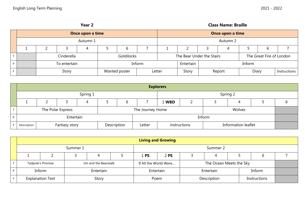| <b>Class Name: Braille</b> |
|----------------------------|
| Once upon a time           |
| Autumn 2                   |
|                            |

|    |  |              |               |  | o          |        |                           |           |  |        |       |  |                          |
|----|--|--------------|---------------|--|------------|--------|---------------------------|-----------|--|--------|-------|--|--------------------------|
|    |  | Cinderella   |               |  | Goldilocks |        | The Bear Under the Stairs |           |  |        |       |  | The Great Fire of London |
| P. |  | To entertain |               |  |            | Inform |                           | Entertain |  | Inform |       |  |                          |
|    |  | Story        | Wanted poster |  |            |        | Letter                    | Story     |  | Report | Diary |  | Instructions             |
|    |  |              |               |  |            |        |                           |           |  |        |       |  |                          |

| <b>Explorers</b> |  |                   |          |             |  |          |                            |  |                     |  |  |  |  |  |
|------------------|--|-------------------|----------|-------------|--|----------|----------------------------|--|---------------------|--|--|--|--|--|
|                  |  |                   | Spring 1 |             |  | Spring 2 |                            |  |                     |  |  |  |  |  |
|                  |  |                   | 4        |             |  | 1 WBD    |                            |  | 4                   |  |  |  |  |  |
|                  |  | The Polar Express |          |             |  |          | Wolves<br>The Journey Home |  |                     |  |  |  |  |  |
|                  |  | Entertain         |          |             |  |          |                            |  | Inform              |  |  |  |  |  |
| Description      |  | Fantasy story     |          | Description |  | Letter   | instructions               |  | Information leaflet |  |  |  |  |  |

|  |                         |          |                       |                       | <b>Living and Growing</b> |  |                         |  |              |  |
|--|-------------------------|----------|-----------------------|-----------------------|---------------------------|--|-------------------------|--|--------------|--|
|  |                         | Summer 1 |                       |                       |                           |  | Summer 2                |  |              |  |
|  |                         |          |                       | 1 PS                  | 2 PS                      |  |                         |  |              |  |
|  | Tadpole's Promise       |          | Jim and the Beanstalk | If All the World Were |                           |  | The Ocean Meets the Sky |  |              |  |
|  | Inform                  |          | Entertain             |                       | Entertain                 |  | Entertain               |  | Inform       |  |
|  | <b>Explanation Text</b> |          | Story                 | Description<br>Poem   |                           |  |                         |  | Instructions |  |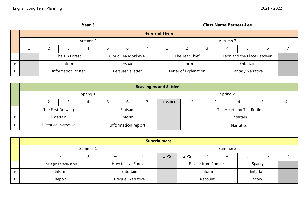| v<br>٠ | ٧<br>× |
|--------|--------|
|--------|--------|

## **Year 3 Class Name Berners-Lee**

|  |                    |                           |          |  |                    |  | <b>Here and There</b>                             |                |  |          |                            |  |  |
|--|--------------------|---------------------------|----------|--|--------------------|--|---------------------------------------------------|----------------|--|----------|----------------------------|--|--|
|  |                    |                           | Autumn 1 |  |                    |  |                                                   |                |  | Autumn 2 |                            |  |  |
|  |                    |                           | 4        |  | b                  |  |                                                   |                |  |          |                            |  |  |
|  |                    | The Tin Forest            |          |  | Cloud Tea Monkeys? |  |                                                   | The Tear Thief |  |          | Leon and the Place Between |  |  |
|  | Persuade<br>Inform |                           |          |  |                    |  | Inform<br>Entertain                               |                |  |          |                            |  |  |
|  |                    | <b>Information Poster</b> |          |  | Persuasive letter  |  | Letter of Explanation<br><b>Fantasy Narrative</b> |                |  |          |                            |  |  |

| <b>Scavengers and Settlers.</b>                   |  |                   |          |  |         |       |  |           |  |                          |  |  |  |  |
|---------------------------------------------------|--|-------------------|----------|--|---------|-------|--|-----------|--|--------------------------|--|--|--|--|
|                                                   |  |                   | Spring 1 |  |         |       |  |           |  | Spring 2                 |  |  |  |  |
|                                                   |  |                   |          |  | b       | 1 WBD |  |           |  |                          |  |  |  |  |
|                                                   |  | The First Drawing |          |  | Flotsam |       |  |           |  | The Heart and The Bottle |  |  |  |  |
|                                                   |  | Entertain         |          |  | Inform  |       |  | Entertain |  |                          |  |  |  |  |
| <b>Historical Narrative</b><br>Information report |  |                   |          |  |         |       |  |           |  | Narrative                |  |  |  |  |

|                                    |                           |          |  |                     | <b>Superhumans</b> |      |                     |          |           |        |  |
|------------------------------------|---------------------------|----------|--|---------------------|--------------------|------|---------------------|----------|-----------|--------|--|
|                                    |                           | Summer 1 |  |                     |                    |      |                     | Summer 2 |           |        |  |
|                                    |                           |          |  |                     |                    | 2 PS |                     |          |           |        |  |
|                                    | The Legend of Sally Jones |          |  | How to Live Forever |                    |      | Escape from Pompeii |          |           | Sparky |  |
|                                    | Inform                    |          |  | Entertain           |                    |      | Inform              |          | Entertain |        |  |
| <b>Prequel Narrative</b><br>Report |                           |          |  |                     |                    |      | Recount             |          |           | Story  |  |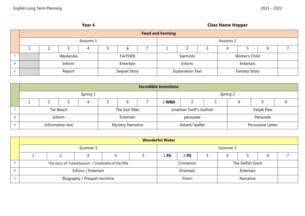## **Year 4 Class Name Hopper**

|                        |                     |           |          |  |                |  | <b>Food and Farming</b> |                            |  |  |                      |   |  |
|------------------------|---------------------|-----------|----------|--|----------------|--|-------------------------|----------------------------|--|--|----------------------|---|--|
|                        |                     |           | Autumn 1 |  |                |  | Autumn 2                |                            |  |  |                      |   |  |
|                        |                     |           |          |  |                |  |                         |                            |  |  |                      | b |  |
|                        |                     | Weslandia |          |  | <b>FArTHER</b> |  |                         | Varmints<br>Winter's Child |  |  |                      |   |  |
|                        | Inform<br>Entertain |           |          |  |                |  | Inform                  |                            |  |  | Entertain            |   |  |
| Sequel Story<br>Report |                     |           |          |  |                |  |                         | <b>Explanation Text</b>    |  |  | <b>Fantasy Story</b> |   |  |

|                                              | <b>Incredible Inventions</b> |           |          |  |              |  |          |                           |  |                   |  |  |  |  |
|----------------------------------------------|------------------------------|-----------|----------|--|--------------|--|----------|---------------------------|--|-------------------|--|--|--|--|
|                                              |                              |           | Spring 1 |  |              |  | Spring 2 |                           |  |                   |  |  |  |  |
|                                              |                              |           | 4        |  | b            |  | 1 WBD    |                           |  |                   |  |  |  |  |
|                                              |                              | Tar Beach |          |  | The Iron Man |  |          | Jonathan Swift's Gulliver |  | Varjak Paw        |  |  |  |  |
| Inform                                       |                              |           |          |  | Entertain    |  | persuade |                           |  | Persuade          |  |  |  |  |
| Information text<br><b>Mystery Narrative</b> |                              |           |          |  |              |  |          | Advert/leaflet            |  | Persuasive Letter |  |  |  |  |

|  | <b>Wonderful Water</b> |                                                   |  |  |                               |           |  |  |           |  |  |  |  |
|--|------------------------|---------------------------------------------------|--|--|-------------------------------|-----------|--|--|-----------|--|--|--|--|
|  |                        | Summer 1                                          |  |  | Summer 2                      |           |  |  |           |  |  |  |  |
|  |                        |                                                   |  |  | 1 PS                          | 2 PS      |  |  |           |  |  |  |  |
|  |                        | The story of Tutankhamun / Cinderella of the Nile |  |  | The Selfish Giant<br>Cinnamon |           |  |  |           |  |  |  |  |
|  |                        | Inform / Entertain                                |  |  |                               | Entertain |  |  | Entertain |  |  |  |  |
|  |                        | Biography / Prequel narrative                     |  |  | Poem                          |           |  |  | Narrative |  |  |  |  |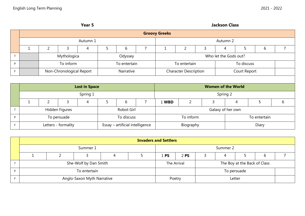|   |                           |   |                          | Year 5               |  |           |  | <b>Jackson Class</b>                         |                |   |                           |   |   |  |  |
|---|---------------------------|---|--------------------------|----------------------|--|-----------|--|----------------------------------------------|----------------|---|---------------------------|---|---|--|--|
|   |                           |   |                          |                      |  |           |  | <b>Groovy Greeks</b>                         |                |   |                           |   |   |  |  |
|   |                           |   |                          | Autumn 1             |  |           |  |                                              |                |   | Autumn 2                  |   |   |  |  |
|   |                           | ำ | 3                        | 4                    |  | 6         |  |                                              | $\overline{2}$ | 3 | 4                         | 6 |   |  |  |
| T | Mythologica<br>Odyssey    |   |                          |                      |  |           |  |                                              |                |   | Who let the Gods out?     |   |   |  |  |
| P | To inform<br>To entertain |   |                          |                      |  |           |  | To discuss<br>To entertain                   |                |   |                           |   |   |  |  |
| E |                           |   | Non-Chronological Report |                      |  | Narrative |  | <b>Character Description</b><br>Court Report |                |   |                           |   |   |  |  |
|   |                           |   |                          |                      |  |           |  |                                              |                |   |                           |   |   |  |  |
|   |                           |   |                          | <b>Lost in Space</b> |  |           |  |                                              |                |   | <b>Women of the World</b> |   |   |  |  |
|   | Spring 1                  |   |                          |                      |  |           |  | Spring 2                                     |                |   |                           |   |   |  |  |
|   | 2<br>3<br>6<br>4<br>5     |   |                          |                      |  |           |  | l WBD                                        | 2              | 3 | 4                         | 5 | 6 |  |  |

|  | Hidden Figures      |  | Robot Girl                      | Galaxy of her own |  |           |  |       |              |  |
|--|---------------------|--|---------------------------------|-------------------|--|-----------|--|-------|--------------|--|
|  | To persuade         |  | To discuss                      |                   |  | To inform |  |       | To entertain |  |
|  | Letters - formality |  | Essay – artificial intelligence | Biography         |  |           |  | Diary |              |  |

| <b>Invaders and Settlers</b> |  |                            |  |  |                                             |        |        |  |  |   |  |  |  |
|------------------------------|--|----------------------------|--|--|---------------------------------------------|--------|--------|--|--|---|--|--|--|
|                              |  | Summer 1                   |  |  | Summer 2                                    |        |        |  |  |   |  |  |  |
|                              |  |                            |  |  | 1 PS                                        | 2 PS   |        |  |  | b |  |  |  |
|                              |  | She-Wolf by Dan Smith      |  |  | The Boy at the Back of Class<br>The Arrival |        |        |  |  |   |  |  |  |
|                              |  | To entertain               |  |  | To persuade                                 |        |        |  |  |   |  |  |  |
|                              |  | Anglo-Saxon Myth Narrative |  |  |                                             | Poetry | Letter |  |  |   |  |  |  |